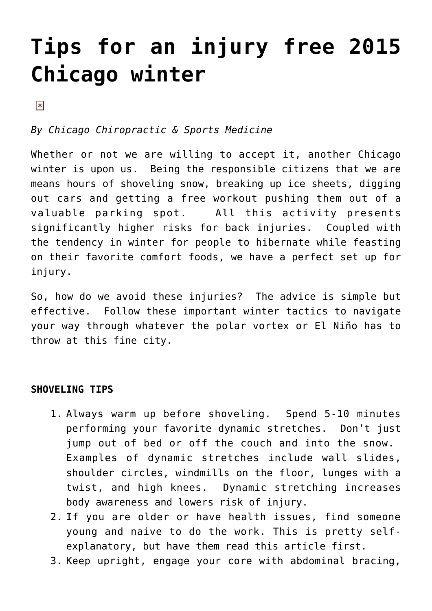## **[Tips for an injury free 2015](https://chicagochirosports.com/2015/01/tips-for-an-injury-free-2015-chicago-winter/) [Chicago winter](https://chicagochirosports.com/2015/01/tips-for-an-injury-free-2015-chicago-winter/)**

 $\pmb{\times}$ 

*By Chicago Chiropractic & Sports Medicine* 

Whether or not we are willing to accept it, another Chicago winter is upon us. Being the responsible citizens that we are means hours of shoveling snow, breaking up ice sheets, digging out cars and getting a free workout pushing them out of a valuable parking spot. All this activity presents significantly higher risks for back injuries. Coupled with the tendency in winter for people to hibernate while feasting on their favorite comfort foods, we have a perfect set up for injury.

So, how do we avoid these injuries? The advice is simple but effective. Follow these important winter tactics to navigate your way through whatever the polar vortex or El Niño has to throw at this fine city.

## **SHOVELING TIPS**

- 1. Always warm up before shoveling. Spend 5-10 minutes performing your favorite dynamic stretches. Don't just jump out of bed or off the couch and into the snow. Examples of dynamic stretches include wall slides, shoulder circles, windmills on the floor, lunges with a twist, and high knees. Dynamic stretching increases body awareness and lowers risk of injury.
- 2. If you are older or have health issues, find someone young and naive to do the work. This is pretty selfexplanatory, but have them read this article first.
- 3. Keep upright, engage your core with abdominal bracing,